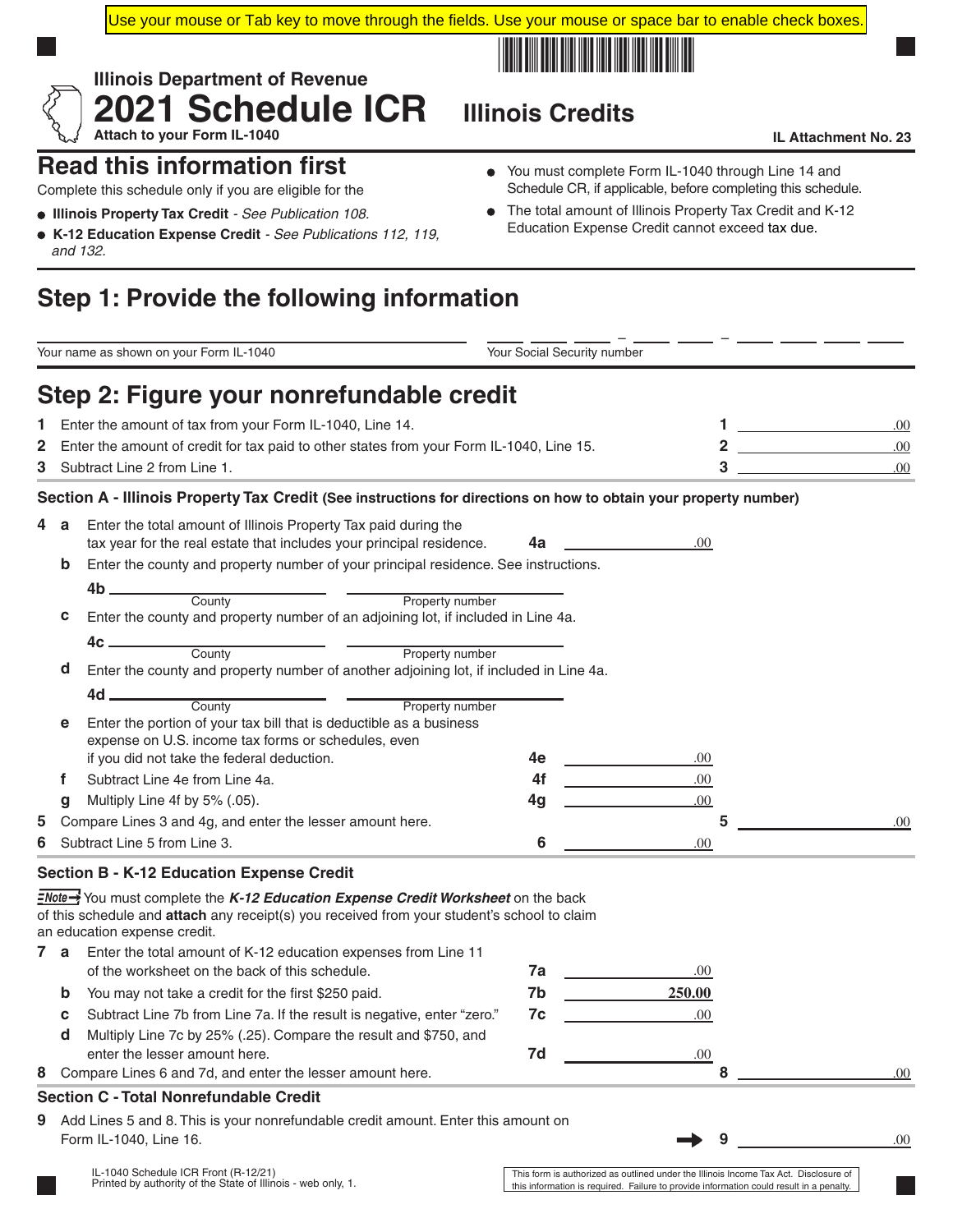Use your mouse or Tab key to move through the fields. Use your mouse or space bar to enable check boxes.



# **2021 Schedule ICR** Illinois Credits

#### Attach to your Form IL-1040 **IL Attachment No. 23**

### **Read this information first**

Complete this schedule only if you are eligible for the

- **Illinois Property Tax Credit** *See Publication 108.*
- **K-12 Education Expense Credit**  *See Publications 112, 119, and 132.*

**Illinois Department of Revenue**

You must complete Form IL-1040 through Line 14 and Schedule CR, if applicable, before completing this schedule.

The total amount of Illinois Property Tax Credit and K-12  $\bullet$ Education Expense Credit cannot exceed tax due.

## **Step 1: Provide the following information**

|    |             | Your name as shown on your Form IL-1040                                                                          | Your Social Security number |                                                                   |                         |     |  |
|----|-------------|------------------------------------------------------------------------------------------------------------------|-----------------------------|-------------------------------------------------------------------|-------------------------|-----|--|
|    |             | Step 2: Figure your nonrefundable credit                                                                         |                             |                                                                   |                         |     |  |
| Т. |             | Enter the amount of tax from your Form IL-1040, Line 14.                                                         |                             | 1                                                                 | .00                     |     |  |
| 2  |             | Enter the amount of credit for tax paid to other states from your Form IL-1040, Line 15.                         |                             |                                                                   | $\overline{\mathbf{2}}$ | .00 |  |
| 3  |             | Subtract Line 2 from Line 1.                                                                                     |                             | 3                                                                 | .00                     |     |  |
|    |             | Section A - Illinois Property Tax Credit (See instructions for directions on how to obtain your property number) |                             |                                                                   |                         |     |  |
| 4  | a           | Enter the total amount of Illinois Property Tax paid during the                                                  |                             |                                                                   |                         |     |  |
|    |             | tax year for the real estate that includes your principal residence.                                             | .00                         |                                                                   |                         |     |  |
|    | $\mathbf b$ | Enter the county and property number of your principal residence. See instructions.                              |                             |                                                                   |                         |     |  |
|    |             | 4b _______                                                                                                       |                             |                                                                   |                         |     |  |
|    | c           | County<br>Property number<br>Enter the county and property number of an adjoining lot, if included in Line 4a.   |                             |                                                                   |                         |     |  |
|    |             |                                                                                                                  |                             |                                                                   |                         |     |  |
|    |             | 4c <sub>–</sub><br>County<br>Property number                                                                     |                             |                                                                   |                         |     |  |
|    | d           | Enter the county and property number of another adjoining lot, if included in Line 4a.                           |                             |                                                                   |                         |     |  |
|    |             | 4d _<br>County<br>Property number                                                                                |                             |                                                                   |                         |     |  |
|    | е           | Enter the portion of your tax bill that is deductible as a business                                              |                             |                                                                   |                         |     |  |
|    |             | expense on U.S. income tax forms or schedules, even                                                              |                             |                                                                   |                         |     |  |
|    |             | if you did not take the federal deduction.                                                                       | 4e                          | .00                                                               |                         |     |  |
|    | f           | Subtract Line 4e from Line 4a.                                                                                   | 4f                          | .00                                                               |                         |     |  |
|    | g           | Multiply Line 4f by 5% (.05).                                                                                    | 4g                          | .00.                                                              |                         |     |  |
| 5  |             | Compare Lines 3 and 4g, and enter the lesser amount here.                                                        |                             |                                                                   | 5                       | .00 |  |
| 6  |             | Subtract Line 5 from Line 3.                                                                                     | 6                           | .00                                                               |                         |     |  |
|    |             | <b>Section B - K-12 Education Expense Credit</b>                                                                 |                             |                                                                   |                         |     |  |
|    |             | <b>ENote→</b> You must complete the K-12 Education Expense Credit Worksheet on the back                          |                             |                                                                   |                         |     |  |
|    |             | of this schedule and attach any receipt(s) you received from your student's school to claim                      |                             |                                                                   |                         |     |  |
|    | 7 a         | an education expense credit.<br>Enter the total amount of K-12 education expenses from Line 11                   |                             |                                                                   |                         |     |  |
|    |             | of the worksheet on the back of this schedule.                                                                   | 7a                          | .00                                                               |                         |     |  |
|    | $\mathbf b$ | You may not take a credit for the first \$250 paid.                                                              | 7b                          | 250.00                                                            |                         |     |  |
|    | с           | Subtract Line 7b from Line 7a. If the result is negative, enter "zero."                                          | 7c                          | .00                                                               |                         |     |  |
|    | d           | Multiply Line 7c by 25% (.25). Compare the result and \$750, and                                                 |                             |                                                                   |                         |     |  |
|    |             | enter the lesser amount here.                                                                                    | 7d                          | .00                                                               |                         |     |  |
| 8  |             | Compare Lines 6 and 7d, and enter the lesser amount here.                                                        |                             |                                                                   | 8                       | .00 |  |
|    |             | <b>Section C - Total Nonrefundable Credit</b>                                                                    |                             |                                                                   |                         |     |  |
| 9  |             | Add Lines 5 and 8. This is your nonrefundable credit amount. Enter this amount on                                |                             |                                                                   |                         |     |  |
|    |             | Form IL-1040, Line 16.                                                                                           |                             |                                                                   | 9                       | .00 |  |
|    |             | IL-1040 Schedule ICR Front (R-12/21)                                                                             |                             | This form is authorized as outlined under the Illinois Income Tay |                         |     |  |